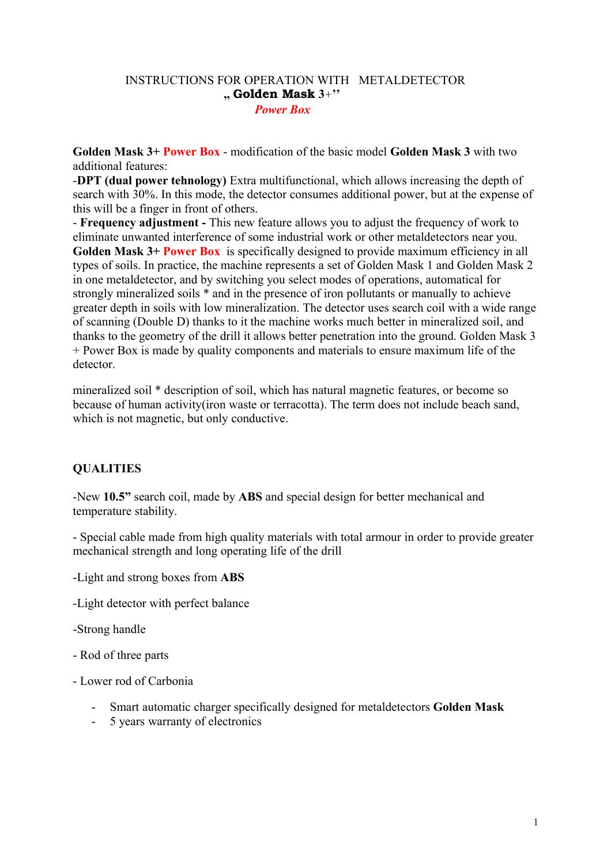### INSTRUCTIONS FOR OPERATION WITH METALDETECTOR **,,** Golden Mask **3**+**''** *Power Box*

**Golden Mask 3+ Power Box** - modification of the basic model **Golden Mask 3** with two additional features:

-**DPT (dual power tehnology)** Extra multifunctional, which allows increasing the depth of search with 30%. In this mode, the detector consumes additional power, but at the expense of this will be a finger in front of others.

- **Frequency adjustment -** This new feature allows you to adjust the frequency of work to eliminate unwanted interference of some industrial work or other metaldetectors near you. **Golden Mask 3+ Power Box** is specifically designed to provide maximum efficiency in all types of soils. In practice, the machine represents a set of Golden Mask 1 and Golden Mask 2 in one metaldetector, and by switching you select modes of operations, automatical for strongly mineralized soils \* and in the presence of iron pollutants or manually to achieve greater depth in soils with low mineralization. The detector uses search coil with a wide range of scanning (Double D) thanks to it the machine works much better in mineralized soil, and thanks to the geometry of the drill it allows better penetration into the ground. Golden Mask 3 + Power Box is made by quality components and materials to ensure maximum life of the detector.

mineralized soil \* description of soil, which has natural magnetic features, or become so because of human activity(iron waste or terracotta). The term does not include beach sand, which is not magnetic, but only conductive.

## **QUALITIES**

-New **10.5"** search coil, made by **ABS** and special design for better mechanical and temperature stability.

- Special cable made from high quality materials with total armour in order to provide greater mechanical strength and long operating life of the drill

- -Light and strong boxes from **ABS**
- -Light detector with perfect balance
- -Strong handle
- Rod of three parts
- Lower rod of Carbonia
	- Smart automatic charger specifically designed for metaldetectors **Golden Mask**
	- 5 years warranty of electronics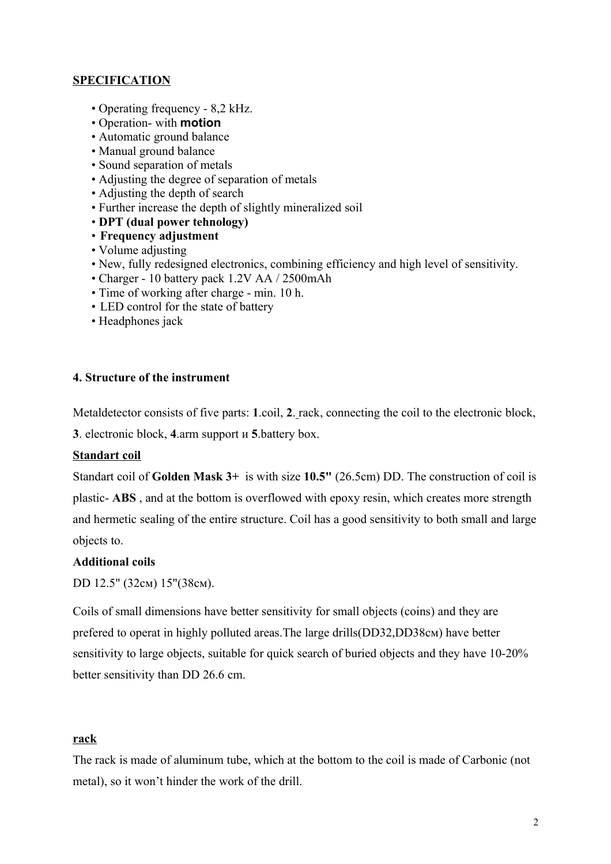## **SPECIFICATION**

- Operating frequency 8,2 kHz.
- Operation- with **motion**
- Automatic ground balance
- Manual ground balance
- Sound separation of metals
- Adjusting the degree of separation of metals
- Adjusting the depth of search
- Further increase the depth of slightly mineralized soil
- • **DPT (dual power tehnology)**
- **Frequency adjustment**
- Volume adjusting
- New, fully redesigned electronics, combining efficiency and high level of sensitivity.
- Charger 10 battery pack 1.2V AA / 2500mAh
- Time of working after charge min. 10 h.
- LED control for the state of battery
- Headphones jack

### **4. Structure of the instrument**

Metaldetector consists of five parts: **1**.coil, **2**. rack, connecting the coil to the electronic block,

**3**. electronic block, **4**.arm support и **5**.battery box.

### **Standart coil**

Standart coil of **Golden Mask 3+** is with size **10.5"** (26.5cm) DD. The construction of coil is plastic- **ABS** , and at the bottom is overflowed with epoxy resin, which creates more strength and hermetic sealing of the entire structure. Coil has a good sensitivity to both small and large objects to.

### **Additional coils**

DD 12.5" (32см) 15"(38см).

Coils of small dimensions have better sensitivity for small objects (coins) and they are prefered to operat in highly polluted areas.The large drills(DD32,DD38см) have better sensitivity to large objects, suitable for quick search of buried objects and they have 10-20% better sensitivity than DD 26.6 сm.

### **rack**

The rack is made of aluminum tube, which at the bottom to the coil is made of Carbonic (not metal), so it won't hinder the work of the drill.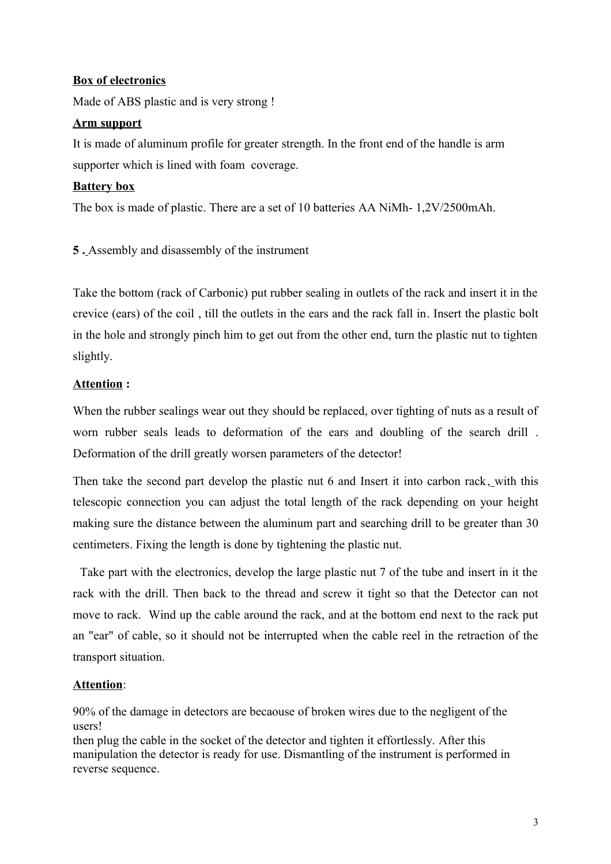### **Box of electronics**

Made of ABS plastic and is very strong !

### **Arm support**

It is made of aluminum profile for greater strength. In the front end of the handle is arm supporter which is lined with foam coverage.

### **Battery box**

The box is made of plastic. There are a set of 10 batteries AA NiMh- 1,2V/2500mAh.

**5 .** Assembly and disassembly of the instrument

Take the bottom (rack of Carbonic) put rubber sealing in outlets of the rack and insert it in the crevice (ears) of the coil , till the outlets in the ears and the rack fall in. Insert the plastic bolt in the hole and strongly pinch him to get out from the other end, turn the plastic nut to tighten slightly.

## **Attention :**

When the rubber sealings wear out they should be replaced, over tighting of nuts as a result of worn rubber seals leads to deformation of the ears and doubling of the search drill . Deformation of the drill greatly worsen parameters of the detector!

Then take the second part develop the plastic nut 6 and Insert it into carbon rack, with this telescopic connection you can adjust the total length of the rack depending on your height making sure the distance between the aluminum part and searching drill to be greater than 30 centimeters. Fixing the length is done by tightening the plastic nut.

 Take part with the electronics, develop the large plastic nut 7 of the tube and insert in it the rack with the drill. Then back to the thread and screw it tight so that the Detector can not move to rack. Wind up the cable around the rack, and at the bottom end next to the rack put an "ear" of cable, so it should not be interrupted when the cable reel in the retraction of the transport situation.

## **Attention**:

90% of the damage in detectors are becaouse of broken wires due to the negligent of the users!

then plug the cable in the socket of the detector and tighten it effortlessly. After this manipulation the detector is ready for use. Dismantling of the instrument is performed in reverse sequence.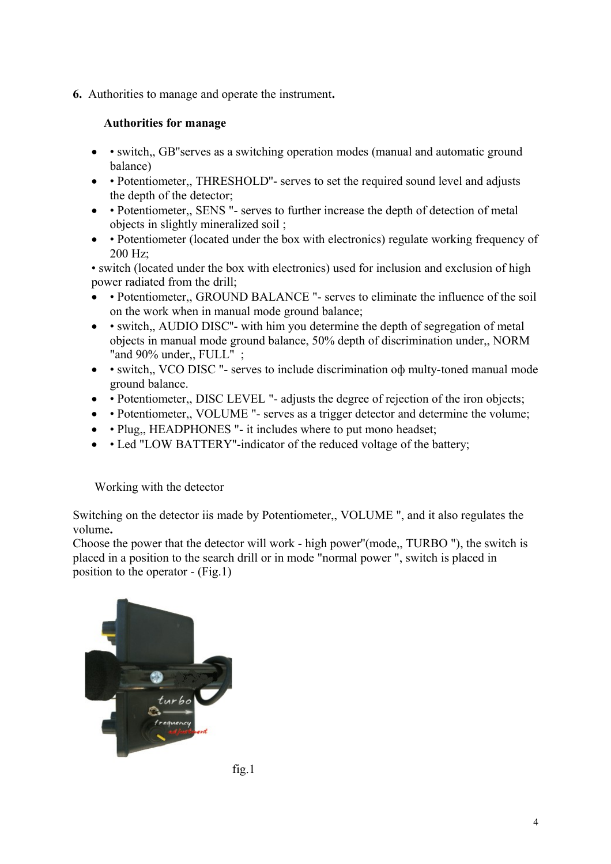**6.** Authorities to manage and operate the instrument**.** 

# **Authorities for manage**

- switch,, GB''s serves as a switching operation modes (manual and automatic ground balance)
- • Potentiometer,, THRESHOLD"- serves to set the required sound level and adjusts the depth of the detector;
- • Potentiometer,, SENS "- serves to further increase the depth of detection of metal objects in slightly mineralized soil ;
- • Potentiometer (located under the box with electronics) regulate working frequency of 200 Hz;

• switch (located under the box with electronics) used for inclusion and exclusion of high power radiated from the drill;

- Potentiometer,, GROUND BALANCE "- serves to eliminate the influence of the soil on the work when in manual mode ground balance;
- • switch,, AUDIO DISC"- with him you determine the depth of segregation of metal objects in manual mode ground balance, 50% depth of discrimination under,, NORM "and 90% under., FULL" :
- • switch,, VCO DISC "- serves to include discrimination oф multy-toned manual mode ground balance.
- • Potentiometer,, DISC LEVEL "- adjusts the degree of rejection of the iron objects;
- • Potentiometer,, VOLUME "- serves as a trigger detector and determine the volume;
- • Plug,, HEADPHONES "- it includes where to put mono headset;
- • Led "LOW BATTERY"-indicator of the reduced voltage of the battery;

Working with the detector

Switching on the detector iis made by Potentiometer,, VOLUME ", and it also regulates the volume**.** 

Choose the power that the detector will work - high power''(mode,, TURBO "), the switch is placed in a position to the search drill or in mode "normal power ", switch is placed in position to the operator - (Fig.1)



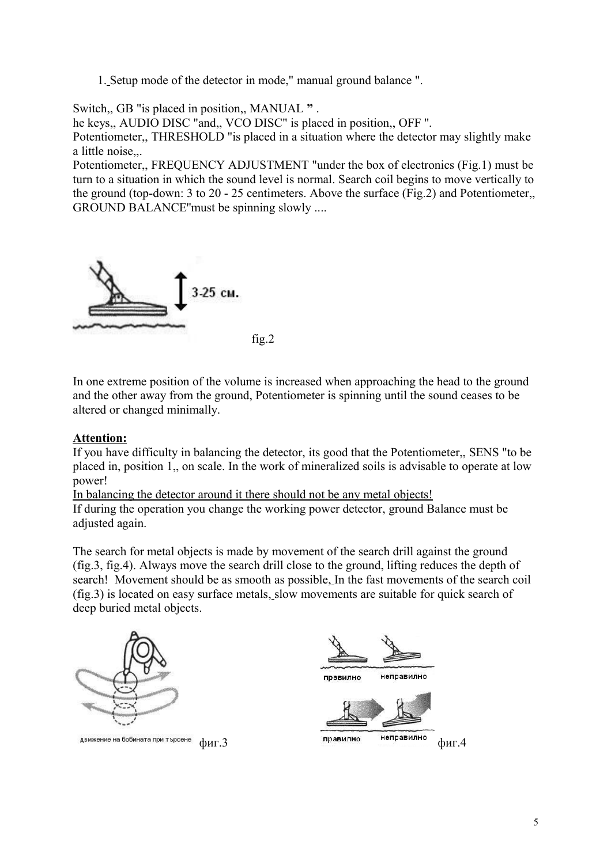1. Setup mode of the detector in mode," manual ground balance ".

Switch,, GB "is placed in position,, MANUAL **"** .

he keys,, AUDIO DISC "and,, VCO DISC" is placed in position,, OFF ''.

Potentiometer,, THRESHOLD "is placed in a situation where the detector may slightly make a little noise,,.

Potentiometer,, FREQUENCY ADJUSTMENT "under the box of electronics (Fig.1) must be turn to a situation in which the sound level is normal. Search coil begins to move vertically to the ground (top-down: 3 to 20 - 25 centimeters. Above the surface (Fig.2) and Potentiometer,, GROUND BALANCE''must be spinning slowly ....



In one extreme position of the volume is increased when approaching the head to the ground and the other away from the ground, Potentiometer is spinning until the sound ceases to be altered or changed minimally.

### **Attention:**

If you have difficulty in balancing the detector, its good that the Potentiometer,, SENS "to be placed in, position 1,, on scale. In the work of mineralized soils is advisable to operate at low power!

In balancing the detector around it there should not be any metal objects!

If during the operation you change the working power detector, ground Balance must be adjusted again.

The search for metal objects is made by movement of the search drill against the ground (fig.3, fig.4). Always move the search drill close to the ground, lifting reduces the depth of search! Movement should be as smooth as possible, In the fast movements of the search coil (fig.3) is located on easy surface metals, slow movements are suitable for quick search of deep buried metal objects.



движение на бобината при търсене

неправилно правилно

 $\phi$ иг. $3$  фиг.4 правилно неправилно  $\phi$ иг.4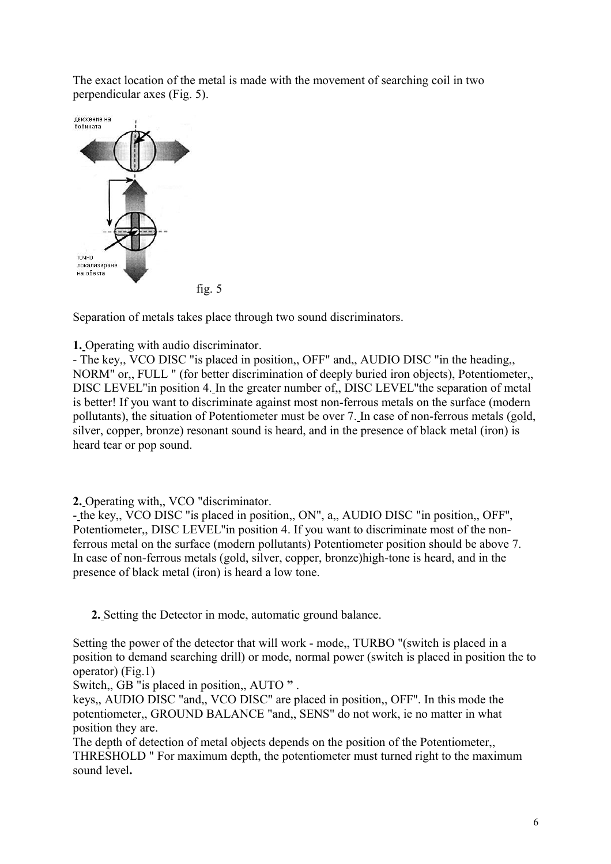The exact location of the metal is made with the movement of searching coil in two perpendicular axes (Fig. 5).



fig. 5

Separation of metals takes place through two sound discriminators.

**1.** Operating with audio discriminator.

- The key,, VCO DISC "is placed in position,, OFF" and,, AUDIO DISC "in the heading,, NORM" or,, FULL " (for better discrimination of deeply buried iron objects), Potentiometer,, DISC LEVEL''in position 4. In the greater number of,, DISC LEVEL''the separation of metal is better! If you want to discriminate against most non-ferrous metals on the surface (modern pollutants), the situation of Potentiometer must be over 7. In case of non-ferrous metals (gold, silver, copper, bronze) resonant sound is heard, and in the presence of black metal (iron) is heard tear or pop sound.

**2.** Operating with,, VCO "discriminator.

- the key,, VCO DISC "is placed in position,, ON", a,, AUDIO DISC "in position,, OFF'', Potentiometer,, DISC LEVEL''in position 4. If you want to discriminate most of the nonferrous metal on the surface (modern pollutants) Potentiometer position should be above 7. In case of non-ferrous metals (gold, silver, copper, bronze)high-tone is heard, and in the presence of black metal (iron) is heard a low tone.

 **2.** Setting the Detector in mode, automatic ground balance.

Setting the power of the detector that will work - mode,, TURBO "(switch is placed in a position to demand searching drill) or mode, normal power (switch is placed in position the to operator) (Fig.1)

Switch,, GB "is placed in position,, AUTO **"** .

keys,, AUDIO DISC "and,, VCO DISC" are placed in position,, OFF''. In this mode the potentiometer,, GROUND BALANCE "and,, SENS" do not work, ie no matter in what position they are.

The depth of detection of metal objects depends on the position of the Potentiometer,, THRESHOLD " For maximum depth, the potentiometer must turned right to the maximum sound level**.**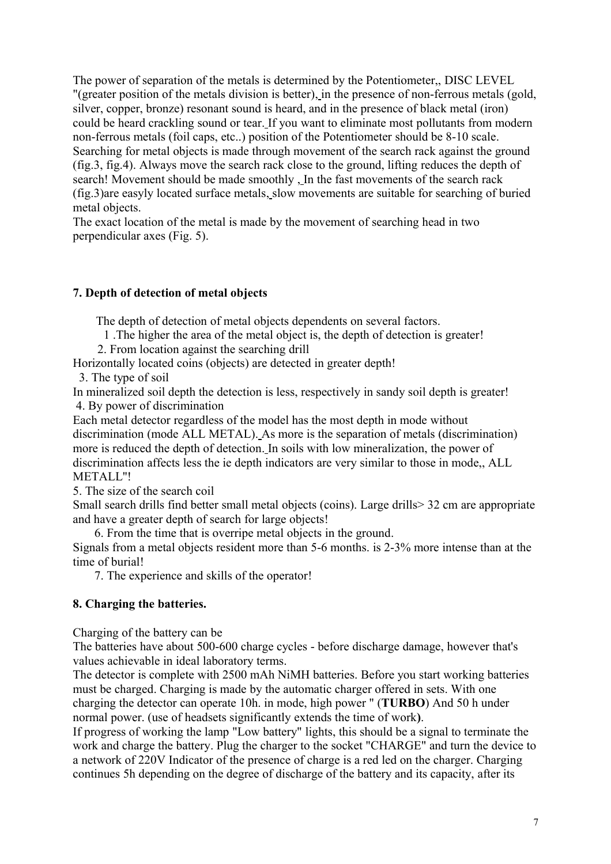The power of separation of the metals is determined by the Potentiometer,, DISC LEVEL "(greater position of the metals division is better), in the presence of non-ferrous metals (gold, silver, copper, bronze) resonant sound is heard, and in the presence of black metal (iron) could be heard crackling sound or tear. If you want to eliminate most pollutants from modern non-ferrous metals (foil caps, etc..) position of the Potentiometer should be 8-10 scale. Searching for metal objects is made through movement of the search rack against the ground (fig.3, fig.4). Always move the search rack close to the ground, lifting reduces the depth of search! Movement should be made smoothly , In the fast movements of the search rack (fig.3)are easyly located surface metals, slow movements are suitable for searching of buried metal objects.

The exact location of the metal is made by the movement of searching head in two perpendicular axes (Fig. 5).

# **7. Depth of detection of metal objects**

The depth of detection of metal objects dependents on several factors.

1 .The higher the area of the metal object is, the depth of detection is greater!

2. From location against the searching drill

Horizontally located coins (objects) are detected in greater depth!

3. The type of soil

In mineralized soil depth the detection is less, respectively in sandy soil depth is greater! 4. By power of discrimination

Each metal detector regardless of the model has the most depth in mode without discrimination (mode ALL METAL). As more is the separation of metals (discrimination) more is reduced the depth of detection. In soils with low mineralization, the power of discrimination affects less the ie depth indicators are very similar to those in mode,, ALL METALL''!

5. The size of the search coil

Small search drills find better small metal objects (coins). Large drills > 32 cm are appropriate and have a greater depth of search for large objects!

6. From the time that is overripe metal objects in the ground.

Signals from a metal objects resident more than 5-6 months. is 2-3% more intense than at the time of burial!

7. The experience and skills of the operator!

## **8. Charging the batteries.**

Charging of the battery can be

The batteries have about 500-600 charge cycles - before discharge damage, however that's values achievable in ideal laboratory terms.

The detector is complete with 2500 mAh NiMH batteries. Before you start working batteries must be charged. Charging is made by the automatic charger offered in sets. With one charging the detector can operate 10h. in mode, high power " (**TURBO**) And 50 h under normal power. (use of headsets significantly extends the time of work**)**.

If progress of working the lamp "Low battery" lights, this should be a signal to terminate the work and charge the battery. Plug the charger to the socket "CHARGE" and turn the device to a network of 220V Indicator of the presence of charge is a red led on the charger. Charging continues 5h depending on the degree of discharge of the battery and its capacity, after its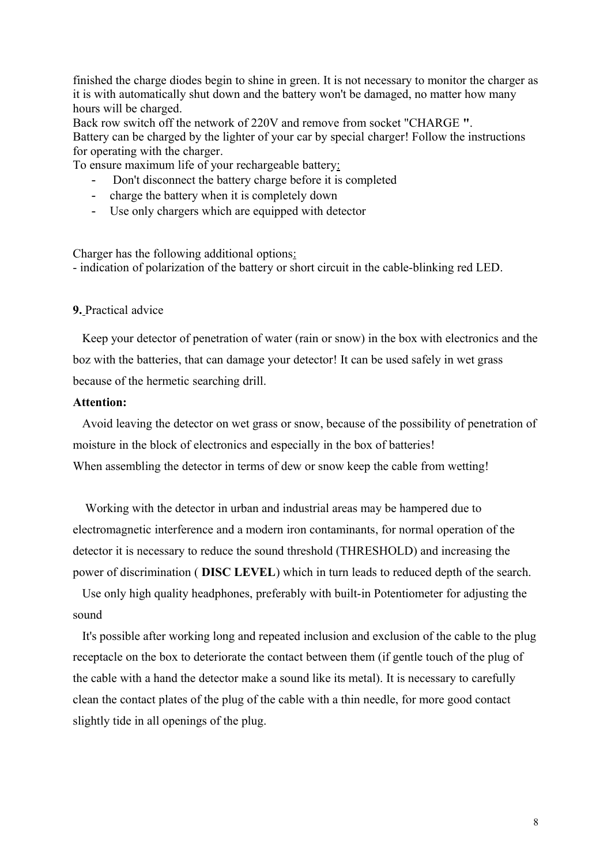finished the charge diodes begin to shine in green. It is not necessary to monitor the charger as it is with automatically shut down and the battery won't be damaged, no matter how many hours will be charged.

Back row switch off the network of 220V and remove from socket "CHARGE **"**. Battery can be charged by the lighter of your car by special charger! Follow the instructions for operating with the charger.

To ensure maximum life of your rechargeable battery:

- Don't disconnect the battery charge before it is completed
- charge the battery when it is completely down
- Use only chargers which are equipped with detector

Charger has the following additional options: - indication of polarization of the battery or short circuit in the cable-blinking red LED.

#### **9.** Practical advice

 Keep your detector of penetration of water (rain or snow) in the box with electronics and the boz with the batteries, that can damage your detector! It can be used safely in wet grass because of the hermetic searching drill.

#### **Attention:**

 Avoid leaving the detector on wet grass or snow, because of the possibility of penetration of moisture in the block of electronics and especially in the box of batteries! When assembling the detector in terms of dew or snow keep the cable from wetting!

 Working with the detector in urban and industrial areas may be hampered due to electromagnetic interference and a modern iron contaminants, for normal operation of the detector it is necessary to reduce the sound threshold (THRESHOLD) and increasing the power of discrimination ( **DISC LEVEL**) which in turn leads to reduced depth of the search.

 Use only high quality headphones, preferably with built-in Potentiometer for adjusting the sound

 It's possible after working long and repeated inclusion and exclusion of the cable to the plug receptacle on the box to deteriorate the contact between them (if gentle touch of the plug of the cable with a hand the detector make a sound like its metal). It is necessary to carefully clean the contact plates of the plug of the cable with a thin needle, for more good contact slightly tide in all openings of the plug.